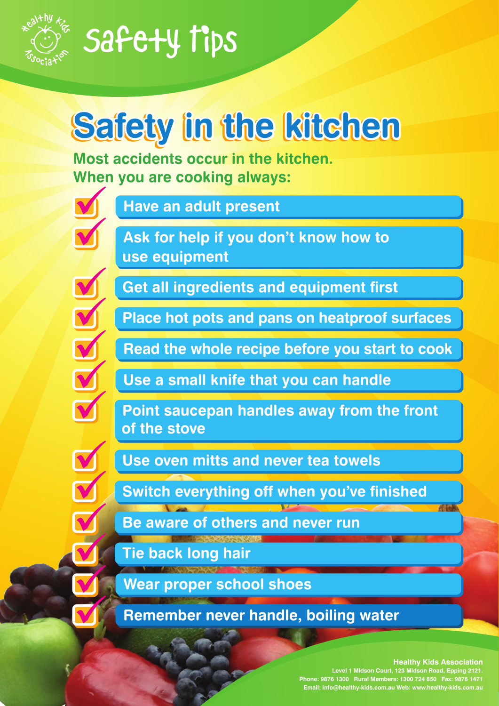

 $\blacklozenge$ 

 $\overline{\mathbf{v}}$ 

 $\blacktriangledown$ 

 $\blacktriangledown$ 

 $\blacktriangledown$ 

 $\blacktriangledown$ 

 $\blacktriangledown$ 

 $\blacktriangledown$ 

 $\blacktriangledown$ 

V

V

V

### Safety Tips

### **Safety in the kitchen**

**Most accidents occur in the kitchen. When you are cooking always:**  $\blacklozenge$ 

**Have an adult present**

**Ask for help if you don't know how to use equipment**

**Get all ingredients and equipment first**

**Place hot pots and pans on heatproof surfaces**

**Read the whole recipe before you start to cook**

**Use a small knife that you can handle**

**Point saucepan handles away from the front of the stove**

**Use oven mitts and never tea towels**

**Switch everything off when you've finished**

**Be aware of others and never run**

**Tie back long hair**

**Wear proper school shoes**

**Remember never handle, boiling water**

#### **Healthy Kids Association**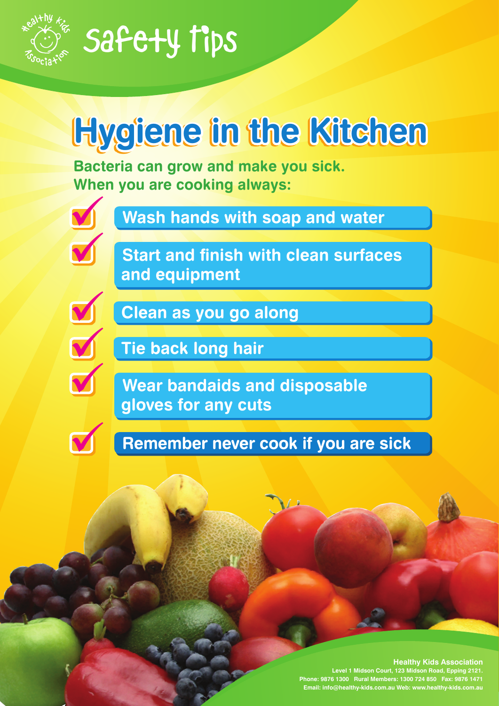

### **Hygiene in the Kitchen**

**Bacteria can grow and make you sick. When you are cooking always:**



**Wash hands with soap and water**

 $\blacklozenge$ 

**Start and finish with clean surfaces and equipment**



**Clean as you go along**



V

**Tie back long hair**

**Wear bandaids and disposable gloves for any cuts**

**Remember never cook if you are sick**

#### **Healthy Kids Association**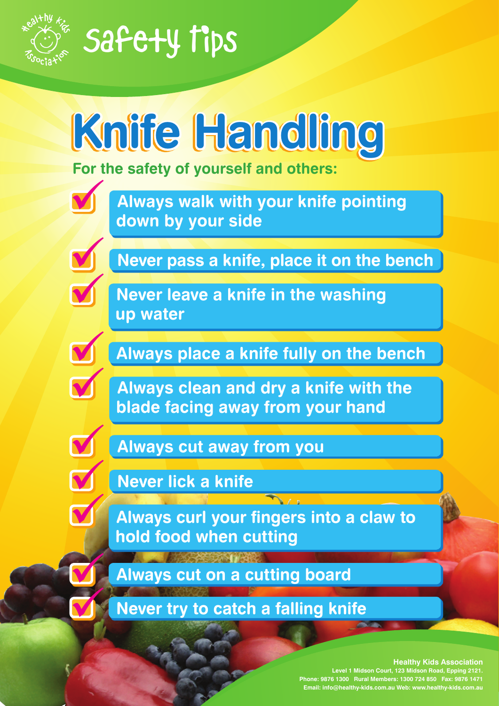



#### **Healthy Kids Association**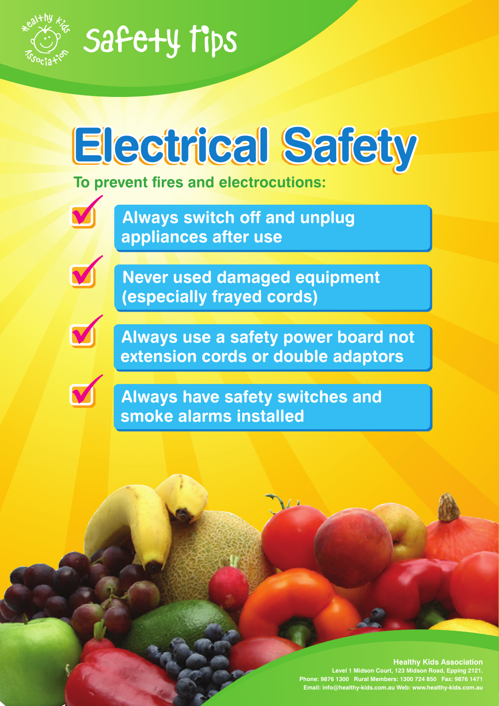



#### **Healthy Kids Association**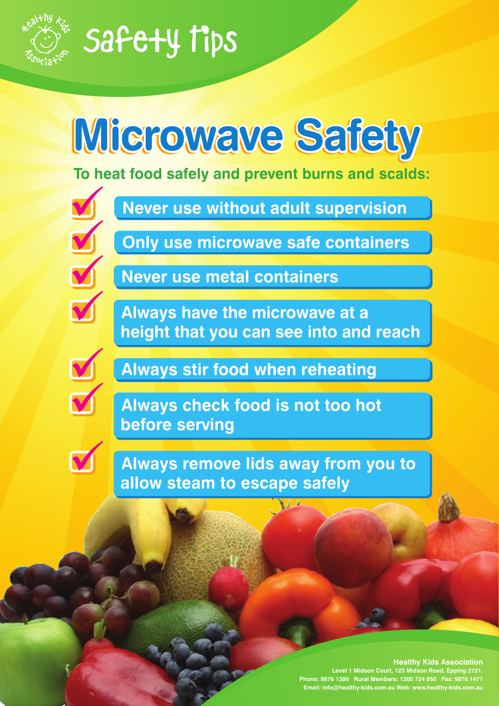

## **Microwave Safety**

**To heat food safely and prevent burns and scalds:**

 $\sum_{i=1}^{n}$  $\blacktriangledown$ 

**Never use without adult supervision**

**Only use microwave safe containers**



**Never use metal containers**

**Always have the microwave at a height that you can see into and reach**

 $\sqrt{2}$ 



**Always stir food when reheating**

**Always check food is not too hot before serving**

**Always remove lids away from you to allow steam to escape safely**

#### **Healthy Kids Association**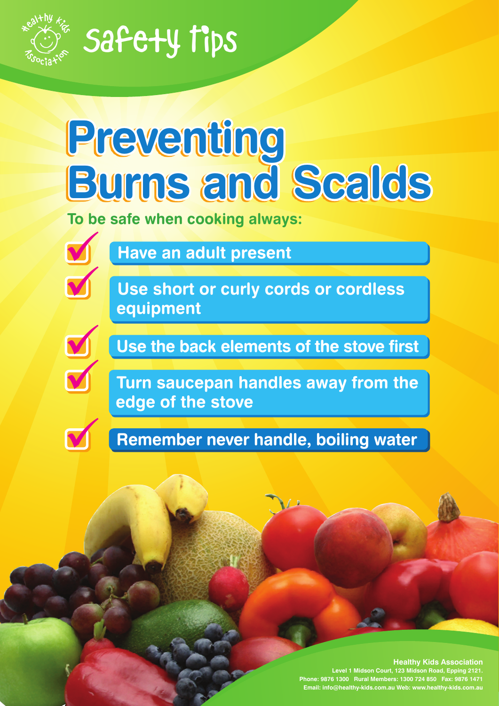

# **Preventing Burns and Scalds**

**To be safe when cooking always:**



**Have an adult present**

**Use short or curly cords or cordless equipment**



 $\blacklozenge$ 

**Use the back elements of the stove first**

**Turn saucepan handles away from the edge of the stove**

**Remember never handle, boiling water**

#### **Healthy Kids Association**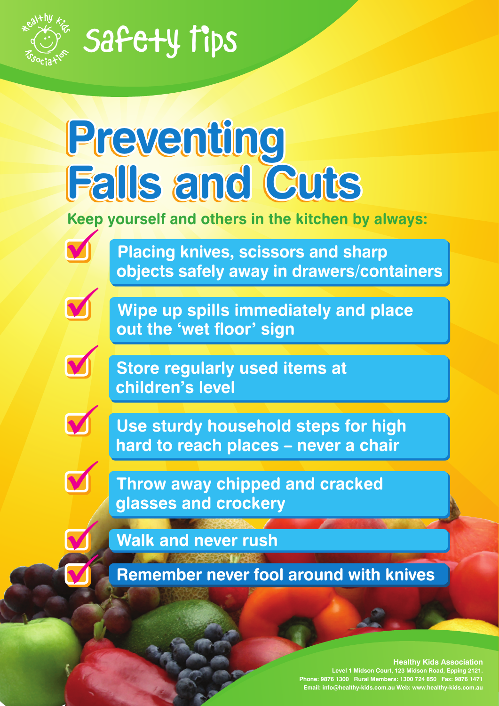

# **Preventing Falls and Cuts**

**Keep yourself and others in the kitchen by always:**



**Placing knives, scissors and sharp objects safely away in drawers/containers**



 $\blacktriangleleft$ 

**Wipe up spills immediately and place out the 'wet floor' sign**

**Store regularly used items at children's level**



V

V

**Use sturdy household steps for high hard to reach places – never a chair**

**Throw away chipped and cracked glasses and crockery**

**Walk and never rush**

**Remember never fool around with knives**

#### **Healthy Kids Association**